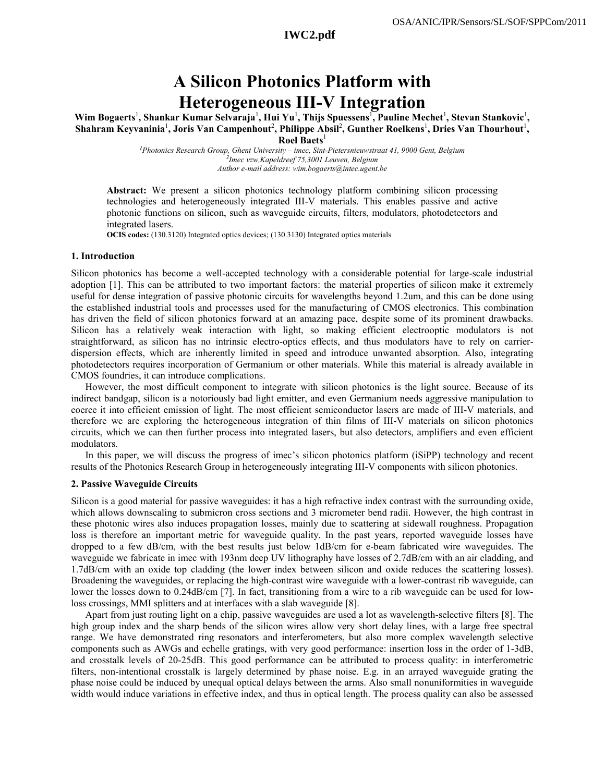# **A Silicon Photonics Platform with Heterogeneous III-V Integration**

Wim Bogaerts<sup>1</sup>, Shankar Kumar Selvaraja<sup>1</sup>, Hui Yu<sup>1</sup>, Thijs Spuessens<sup>1</sup>, Pauline Mechet<sup>1</sup>, Stevan Stankovic<sup>1</sup>, Shahram Keyvaninia<sup>1</sup>, Joris Van Campenhout<sup>2</sup>, Philippe Absil<sup>2</sup>, Gunther Roelkens<sup>1</sup>, Dries Van Thourhout<sup>1</sup>, **Roel Baets**<sup>1</sup>

> *1 Photonics Research Group, Ghent University – imec, Sint-Pietersnieuwstraat 41, 9000 Gent, Belgium 2 Imec vzw,Kapeldreef 75,3001 Leuven, Belgium Author e-mail address: wim.bogaerts@intec.ugent.be*

**Abstract:** We present a silicon photonics technology platform combining silicon processing technologies and heterogeneously integrated III-V materials. This enables passive and active photonic functions on silicon, such as waveguide circuits, filters, modulators, photodetectors and integrated lasers.

**OCIS codes:** (130.3120) Integrated optics devices; (130.3130) Integrated optics materials

### **1. Introduction**

Silicon photonics has become a well-accepted technology with a considerable potential for large-scale industrial adoption [1]. This can be attributed to two important factors: the material properties of silicon make it extremely useful for dense integration of passive photonic circuits for wavelengths beyond 1.2um, and this can be done using the established industrial tools and processes used for the manufacturing of CMOS electronics. This combination has driven the field of silicon photonics forward at an amazing pace, despite some of its prominent drawbacks. Silicon has a relatively weak interaction with light, so making efficient electrooptic modulators is not straightforward, as silicon has no intrinsic electro-optics effects, and thus modulators have to rely on carrierdispersion effects, which are inherently limited in speed and introduce unwanted absorption. Also, integrating photodetectors requires incorporation of Germanium or other materials. While this material is already available in CMOS foundries, it can introduce complications.

However, the most difficult component to integrate with silicon photonics is the light source. Because of its indirect bandgap, silicon is a notoriously bad light emitter, and even Germanium needs aggressive manipulation to coerce it into efficient emission of light. The most efficient semiconductor lasers are made of III-V materials, and therefore we are exploring the heterogeneous integration of thin films of III-V materials on silicon photonics circuits, which we can then further process into integrated lasers, but also detectors, amplifiers and even efficient modulators.

In this paper, we will discuss the progress of imec's silicon photonics platform (iSiPP) technology and recent results of the Photonics Research Group in heterogeneously integrating III-V components with silicon photonics.

#### **2. Passive Waveguide Circuits**

Silicon is a good material for passive waveguides: it has a high refractive index contrast with the surrounding oxide, which allows downscaling to submicron cross sections and 3 micrometer bend radii. However, the high contrast in these photonic wires also induces propagation losses, mainly due to scattering at sidewall roughness. Propagation loss is therefore an important metric for waveguide quality. In the past years, reported waveguide losses have dropped to a few dB/cm, with the best results just below 1dB/cm for e-beam fabricated wire waveguides. The waveguide we fabricate in imec with 193nm deep UV lithography have losses of 2.7dB/cm with an air cladding, and 1.7dB/cm with an oxide top cladding (the lower index between silicon and oxide reduces the scattering losses). Broadening the waveguides, or replacing the high-contrast wire waveguide with a lower-contrast rib waveguide, can lower the losses down to 0.24dB/cm [\[7\].](#page-2-0) In fact, transitioning from a wire to a rib waveguide can be used for lowloss crossings, MMI splitters and at interfaces with a slab waveguide [\[8\].](#page-2-1)

Apart from just routing light on a chip, passive waveguides are used a lot as wavelength-selective filters [\[8\].](#page-2-1) The high group index and the sharp bends of the silicon wires allow very short delay lines, with a large free spectral range. We have demonstrated ring resonators and interferometers, but also more complex wavelength selective components such as AWGs and echelle gratings, with very good performance: insertion loss in the order of 1-3dB, and crosstalk levels of 20-25dB. This good performance can be attributed to process quality: in interferometric filters, non-intentional crosstalk is largely determined by phase noise. E.g. in an arrayed waveguide grating the phase noise could be induced by unequal optical delays between the arms. Also small nonuniformities in waveguide width would induce variations in effective index, and thus in optical length. The process quality can also be assessed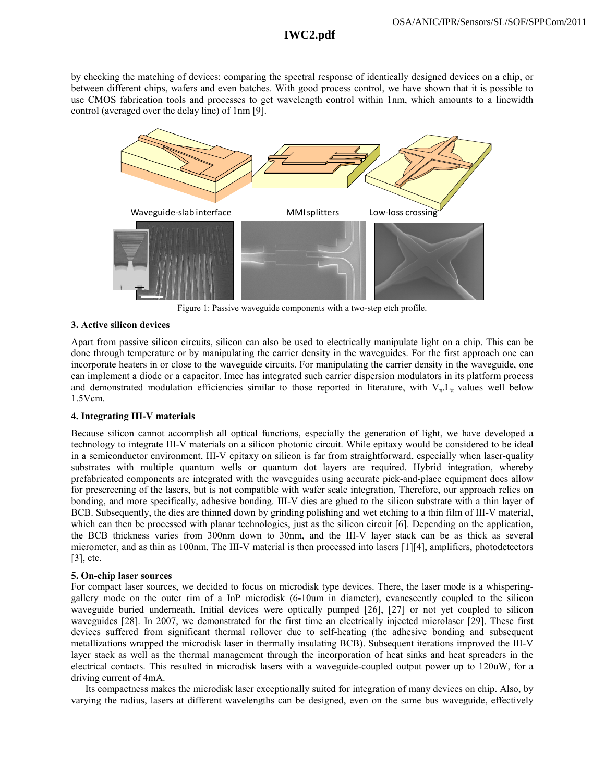## **IWC2.pdf**

by checking the matching of devices: comparing the spectral response of identically designed devices on a chip, or between different chips, wafers and even batches. With good process control, we have shown that it is possible to use CMOS fabrication tools and processes to get wavelength control within 1nm, which amounts to a linewidth control (averaged over the delay line) of 1nm [\[9\].](#page-2-2)



Figure 1: Passive waveguide components with a two-step etch profile.

## **3. Active silicon devices**

Apart from passive silicon circuits, silicon can also be used to electrically manipulate light on a chip. This can be done through temperature or by manipulating the carrier density in the waveguides. For the first approach one can incorporate heaters in or close to the waveguide circuits. For manipulating the carrier density in the waveguide, one can implement a diode or a capacitor. Imec has integrated such carrier dispersion modulators in its platform process and demonstrated modulation efficiencies similar to those reported in literature, with  $V_{\pi}L_{\pi}$  values well below 1.5Vcm.

## **4. Integrating III-V materials**

Because silicon cannot accomplish all optical functions, especially the generation of light, we have developed a technology to integrate III-V materials on a silicon photonic circuit. While epitaxy would be considered to be ideal in a semiconductor environment, III-V epitaxy on silicon is far from straightforward, especially when laser-quality substrates with multiple quantum wells or quantum dot layers are required. Hybrid integration, whereby prefabricated components are integrated with the waveguides using accurate pick-and-place equipment does allow for prescreening of the lasers, but is not compatible with wafer scale integration, Therefore, our approach relies on bonding, and more specifically, adhesive bonding. III-V dies are glued to the silicon substrate with a thin layer of BCB. Subsequently, the dies are thinned down by grinding polishing and wet etching to a thin film of III-V material, which can then be processed with planar technologies, just as the silicon circuit [\[6\].](#page-2-3) Depending on the application, the BCB thickness varies from 300nm down to 30nm, and the III-V layer stack can be as thick as several micrometer, and as thin as 100nm. The III-V material is then processed into lasers [\[1\]\[4\],](#page-2-4) amplifiers, photodetectors  $[3]$ , etc.

## **5. On-chip laser sources**

For compact laser sources, we decided to focus on microdisk type devices. There, the laser mode is a whisperinggallery mode on the outer rim of a InP microdisk (6-10um in diameter), evanescently coupled to the silicon waveguide buried underneath. Initial devices were optically pumped [26], [27] or not yet coupled to silicon waveguides [28]. In 2007, we demonstrated for the first time an electrically injected microlaser [29]. These first devices suffered from significant thermal rollover due to self-heating (the adhesive bonding and subsequent metallizations wrapped the microdisk laser in thermally insulating BCB). Subsequent iterations improved the III-V layer stack as well as the thermal management through the incorporation of heat sinks and heat spreaders in the electrical contacts. This resulted in microdisk lasers with a waveguide-coupled output power up to 120uW, for a driving current of 4mA.

Its compactness makes the microdisk laser exceptionally suited for integration of many devices on chip. Also, by varying the radius, lasers at different wavelengths can be designed, even on the same bus waveguide, effectively